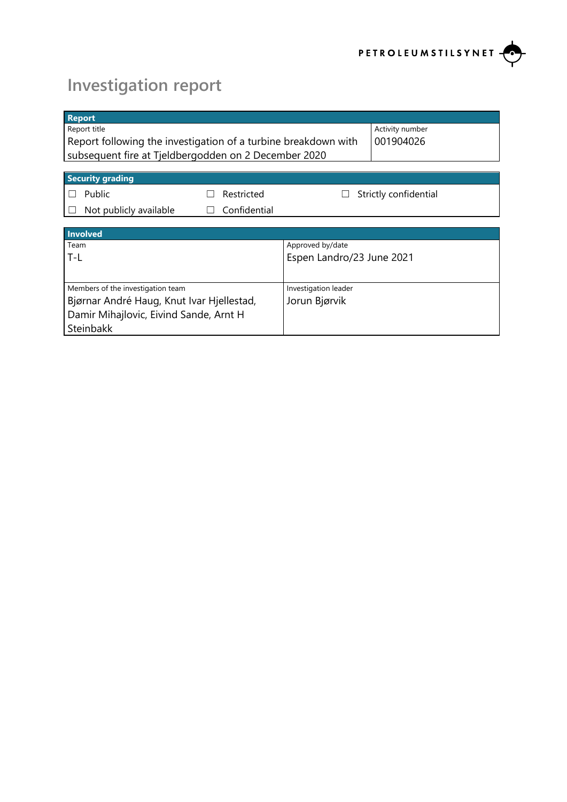

# **Investigation report**

| <b>Report</b>                                                  |                                                      |                           |                       |  |  |
|----------------------------------------------------------------|------------------------------------------------------|---------------------------|-----------------------|--|--|
| Report title                                                   |                                                      |                           | Activity number       |  |  |
| Report following the investigation of a turbine breakdown with |                                                      |                           | 001904026             |  |  |
|                                                                | subsequent fire at Tjeldbergodden on 2 December 2020 |                           |                       |  |  |
|                                                                |                                                      |                           |                       |  |  |
| <b>Security grading</b>                                        |                                                      |                           |                       |  |  |
| Public<br>$\mathbf{L}$                                         | Restricted                                           |                           | Strictly confidential |  |  |
| Not publicly available                                         | Confidential<br>$\mathbf{1}$                         |                           |                       |  |  |
|                                                                |                                                      |                           |                       |  |  |
| Involved                                                       |                                                      |                           |                       |  |  |
| Team                                                           |                                                      | Approved by/date          |                       |  |  |
| T-L                                                            |                                                      | Espen Landro/23 June 2021 |                       |  |  |
|                                                                |                                                      |                           |                       |  |  |
| Members of the investigation team                              |                                                      | Investigation leader      |                       |  |  |
| Bjørnar André Haug, Knut Ivar Hjellestad,                      |                                                      | Jorun Bjørvik             |                       |  |  |
| Damir Mihajlovic, Eivind Sande, Arnt H                         |                                                      |                           |                       |  |  |
| Steinbakk                                                      |                                                      |                           |                       |  |  |
|                                                                |                                                      |                           |                       |  |  |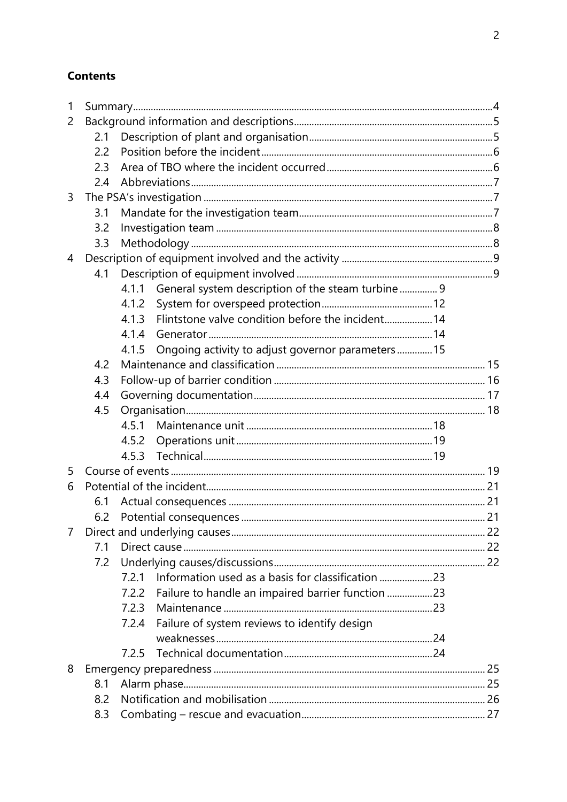# **Contents**

| $\mathbf{1}$   |     |       |                                                    |  |
|----------------|-----|-------|----------------------------------------------------|--|
| 2              |     |       |                                                    |  |
|                | 2.1 |       |                                                    |  |
|                | 2.2 |       |                                                    |  |
|                | 2.3 |       |                                                    |  |
|                | 2.4 |       |                                                    |  |
| 3              |     |       |                                                    |  |
|                | 3.1 |       |                                                    |  |
|                | 3.2 |       |                                                    |  |
|                | 3.3 |       |                                                    |  |
| $\overline{4}$ |     |       |                                                    |  |
|                | 4.1 |       |                                                    |  |
|                |     | 4.1.1 | General system description of the steam turbine 9  |  |
|                |     | 4.1.2 |                                                    |  |
|                |     | 4.1.3 | Flintstone valve condition before the incident 14  |  |
|                |     | 4.1.4 |                                                    |  |
|                |     | 4.1.5 | Ongoing activity to adjust governor parameters  15 |  |
|                | 4.2 |       |                                                    |  |
|                | 4.3 |       |                                                    |  |
|                | 4.4 |       |                                                    |  |
|                | 4.5 |       |                                                    |  |
|                |     | 4.5.1 |                                                    |  |
|                |     | 4.5.2 |                                                    |  |
|                |     | 4.5.3 |                                                    |  |
| 5              |     |       |                                                    |  |
| 6              |     |       |                                                    |  |
|                | 6.1 |       |                                                    |  |
|                | 6.2 |       |                                                    |  |
| $\overline{7}$ |     |       |                                                    |  |
|                | 7.1 |       |                                                    |  |
|                | 7.2 |       |                                                    |  |
|                |     | 7.2.1 | Information used as a basis for classification 23  |  |
|                |     | 7.2.2 | Failure to handle an impaired barrier function 23  |  |
|                |     | 7.2.3 |                                                    |  |
|                |     | 7.2.4 | Failure of system reviews to identify design       |  |
|                |     |       |                                                    |  |
|                |     | 7.2.5 |                                                    |  |
| 8              |     |       |                                                    |  |
|                | 8.1 |       |                                                    |  |
|                | 8.2 |       |                                                    |  |
|                | 8.3 |       |                                                    |  |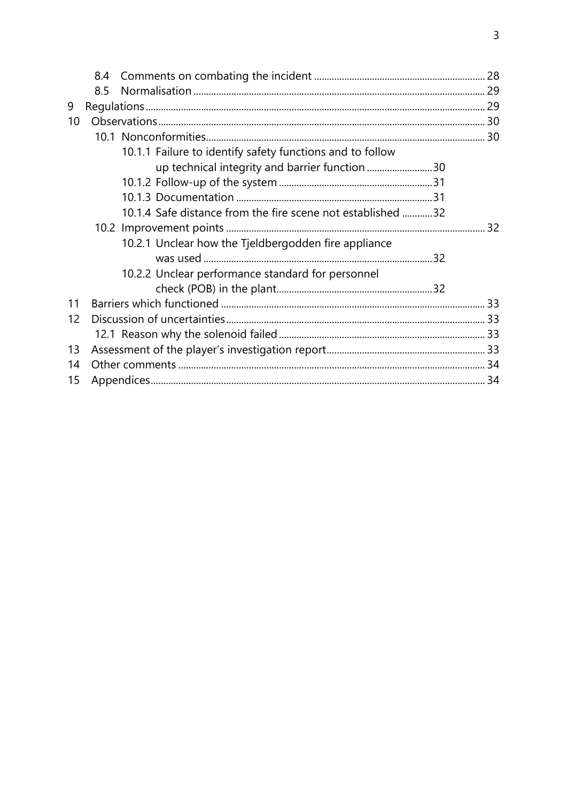|    | 8.4 |                                                             |  |
|----|-----|-------------------------------------------------------------|--|
|    | 8.5 |                                                             |  |
| 9  |     |                                                             |  |
| 10 |     |                                                             |  |
|    |     |                                                             |  |
|    |     | 10.1.1 Failure to identify safety functions and to follow   |  |
|    |     | up technical integrity and barrier function 30              |  |
|    |     |                                                             |  |
|    |     |                                                             |  |
|    |     | 10.1.4 Safe distance from the fire scene not established 32 |  |
|    |     |                                                             |  |
|    |     | 10.2.1 Unclear how the Tjeldbergodden fire appliance        |  |
|    |     |                                                             |  |
|    |     | 10.2.2 Unclear performance standard for personnel           |  |
|    |     |                                                             |  |
| 11 |     |                                                             |  |
| 12 |     |                                                             |  |
|    |     |                                                             |  |
| 13 |     |                                                             |  |
| 14 |     |                                                             |  |
| 15 |     |                                                             |  |
|    |     |                                                             |  |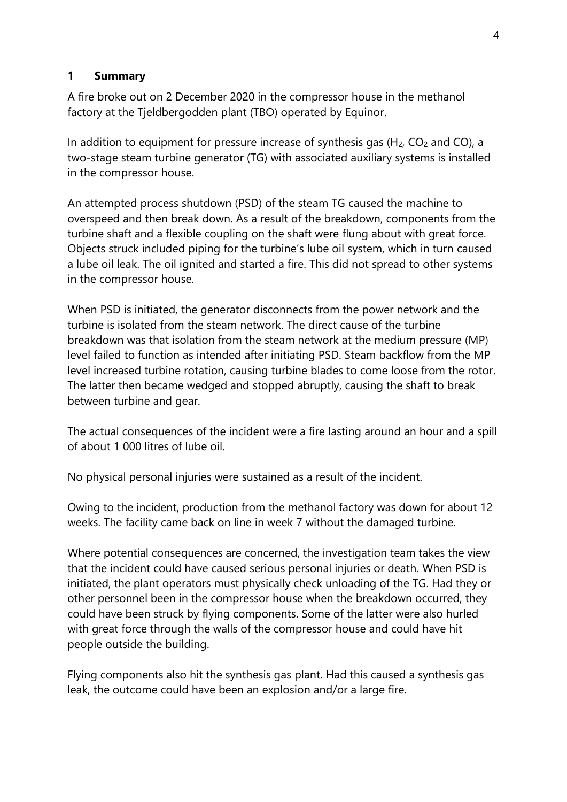#### **1 Summary**

A fire broke out on 2 December 2020 in the compressor house in the methanol factory at the Tjeldbergodden plant (TBO) operated by Equinor.

In addition to equipment for pressure increase of synthesis gas  $(H<sub>2</sub>, CO<sub>2</sub>$  and CO), a two-stage steam turbine generator (TG) with associated auxiliary systems is installed in the compressor house.

An attempted process shutdown (PSD) of the steam TG caused the machine to overspeed and then break down. As a result of the breakdown, components from the turbine shaft and a flexible coupling on the shaft were flung about with great force. Objects struck included piping for the turbine's lube oil system, which in turn caused a lube oil leak. The oil ignited and started a fire. This did not spread to other systems in the compressor house.

When PSD is initiated, the generator disconnects from the power network and the turbine is isolated from the steam network. The direct cause of the turbine breakdown was that isolation from the steam network at the medium pressure (MP) level failed to function as intended after initiating PSD. Steam backflow from the MP level increased turbine rotation, causing turbine blades to come loose from the rotor. The latter then became wedged and stopped abruptly, causing the shaft to break between turbine and gear.

The actual consequences of the incident were a fire lasting around an hour and a spill of about 1 000 litres of lube oil.

No physical personal injuries were sustained as a result of the incident.

Owing to the incident, production from the methanol factory was down for about 12 weeks. The facility came back on line in week 7 without the damaged turbine.

Where potential consequences are concerned, the investigation team takes the view that the incident could have caused serious personal injuries or death. When PSD is initiated, the plant operators must physically check unloading of the TG. Had they or other personnel been in the compressor house when the breakdown occurred, they could have been struck by flying components. Some of the latter were also hurled with great force through the walls of the compressor house and could have hit people outside the building.

Flying components also hit the synthesis gas plant. Had this caused a synthesis gas leak, the outcome could have been an explosion and/or a large fire.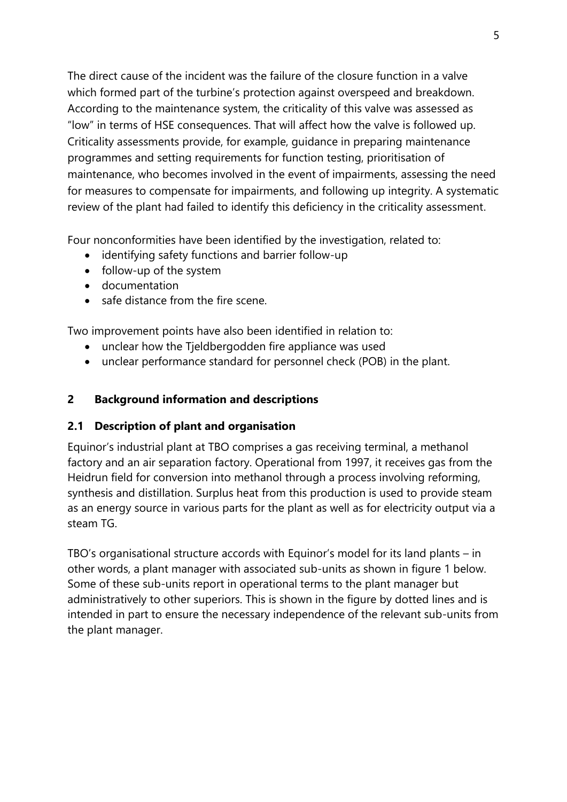The direct cause of the incident was the failure of the closure function in a valve which formed part of the turbine's protection against overspeed and breakdown. According to the maintenance system, the criticality of this valve was assessed as "low" in terms of HSE consequences. That will affect how the valve is followed up. Criticality assessments provide, for example, guidance in preparing maintenance programmes and setting requirements for function testing, prioritisation of maintenance, who becomes involved in the event of impairments, assessing the need for measures to compensate for impairments, and following up integrity. A systematic review of the plant had failed to identify this deficiency in the criticality assessment.

Four nonconformities have been identified by the investigation, related to:

- identifying safety functions and barrier follow-up
- follow-up of the system
- documentation
- safe distance from the fire scene.

Two improvement points have also been identified in relation to:

- unclear how the Tjeldbergodden fire appliance was used
- unclear performance standard for personnel check (POB) in the plant.

# **2 Background information and descriptions**

## **2.1 Description of plant and organisation**

Equinor's industrial plant at TBO comprises a gas receiving terminal, a methanol factory and an air separation factory. Operational from 1997, it receives gas from the Heidrun field for conversion into methanol through a process involving reforming, synthesis and distillation. Surplus heat from this production is used to provide steam as an energy source in various parts for the plant as well as for electricity output via a steam TG.

TBO's organisational structure accords with Equinor's model for its land plants – in other words, a plant manager with associated sub-units as shown in figure 1 below. Some of these sub-units report in operational terms to the plant manager but administratively to other superiors. This is shown in the figure by dotted lines and is intended in part to ensure the necessary independence of the relevant sub-units from the plant manager.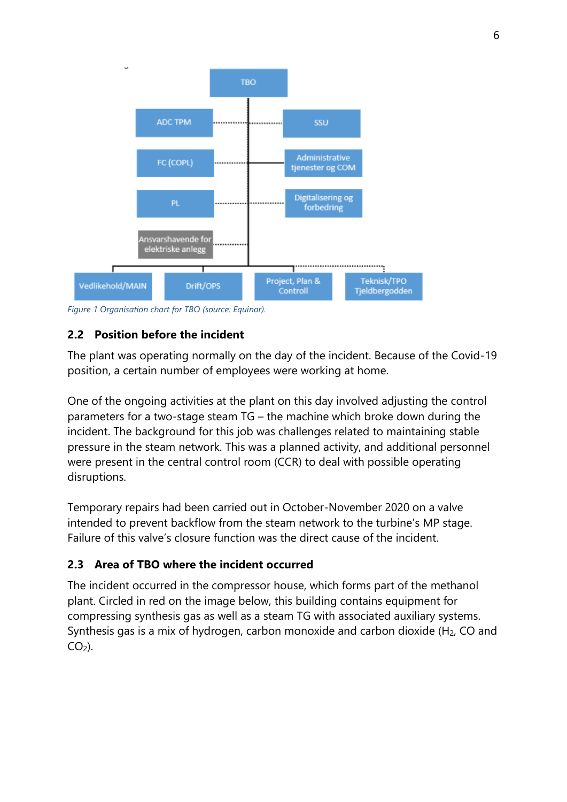

*Figure 1 Organisation chart for TBO (source: Equinor).*

# **2.2 Position before the incident**

The plant was operating normally on the day of the incident. Because of the Covid-19 position, a certain number of employees were working at home.

One of the ongoing activities at the plant on this day involved adjusting the control parameters for a two-stage steam TG – the machine which broke down during the incident. The background for this job was challenges related to maintaining stable pressure in the steam network. This was a planned activity, and additional personnel were present in the central control room (CCR) to deal with possible operating disruptions.

Temporary repairs had been carried out in October-November 2020 on a valve intended to prevent backflow from the steam network to the turbine's MP stage. Failure of this valve's closure function was the direct cause of the incident.

## **2.3 Area of TBO where the incident occurred**

The incident occurred in the compressor house, which forms part of the methanol plant. Circled in red on the image below, this building contains equipment for compressing synthesis gas as well as a steam TG with associated auxiliary systems. Synthesis gas is a mix of hydrogen, carbon monoxide and carbon dioxide (H2, CO and  $CO<sub>2</sub>$ ).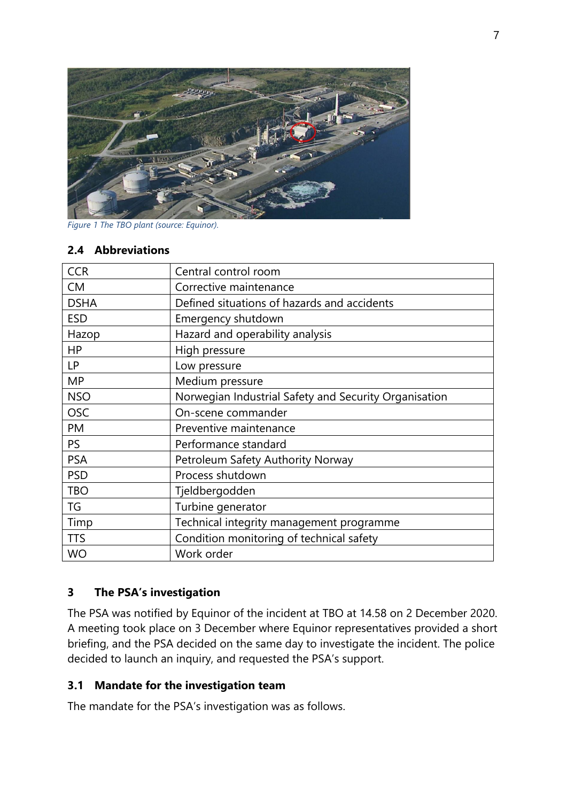

*Figure 1 The TBO plant (source: Equinor).*

#### **2.4 Abbreviations**

| <b>CCR</b>  | Central control room                                  |  |  |
|-------------|-------------------------------------------------------|--|--|
| <b>CM</b>   | Corrective maintenance                                |  |  |
| <b>DSHA</b> | Defined situations of hazards and accidents           |  |  |
| <b>ESD</b>  | Emergency shutdown                                    |  |  |
| Hazop       | Hazard and operability analysis                       |  |  |
| <b>HP</b>   | High pressure                                         |  |  |
| <b>LP</b>   | Low pressure                                          |  |  |
| <b>MP</b>   | Medium pressure                                       |  |  |
| <b>NSO</b>  | Norwegian Industrial Safety and Security Organisation |  |  |
| <b>OSC</b>  | On-scene commander                                    |  |  |
| PM          | Preventive maintenance                                |  |  |
| <b>PS</b>   | Performance standard                                  |  |  |
| <b>PSA</b>  | Petroleum Safety Authority Norway                     |  |  |
| <b>PSD</b>  | Process shutdown                                      |  |  |
| <b>TBO</b>  | Tjeldbergodden                                        |  |  |
| TG          | Turbine generator                                     |  |  |
| Timp        | Technical integrity management programme              |  |  |
| <b>TTS</b>  | Condition monitoring of technical safety              |  |  |
| <b>WO</b>   | Work order                                            |  |  |

#### **3 The PSA's investigation**

The PSA was notified by Equinor of the incident at TBO at 14.58 on 2 December 2020. A meeting took place on 3 December where Equinor representatives provided a short briefing, and the PSA decided on the same day to investigate the incident. The police decided to launch an inquiry, and requested the PSA's support.

#### **3.1 Mandate for the investigation team**

The mandate for the PSA's investigation was as follows.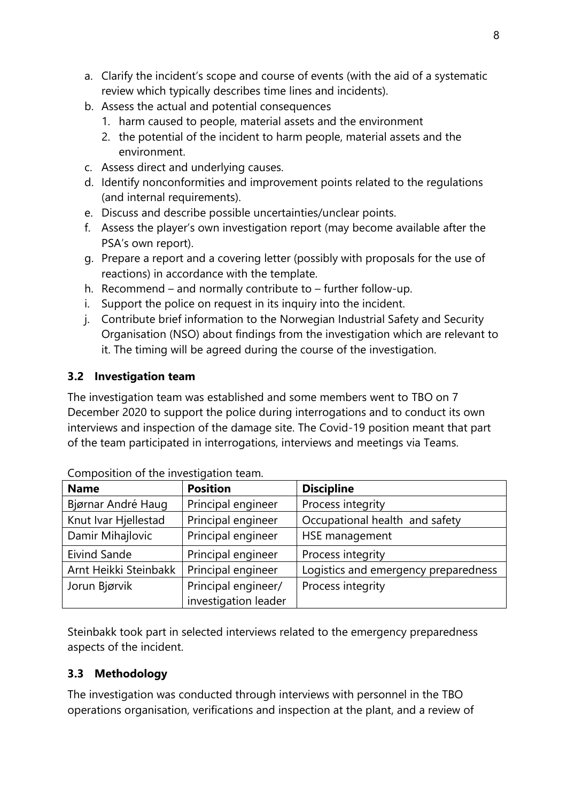- a. Clarify the incident's scope and course of events (with the aid of a systematic review which typically describes time lines and incidents).
- b. Assess the actual and potential consequences
	- 1. harm caused to people, material assets and the environment
	- 2. the potential of the incident to harm people, material assets and the environment.
- c. Assess direct and underlying causes.
- d. Identify nonconformities and improvement points related to the regulations (and internal requirements).
- e. Discuss and describe possible uncertainties/unclear points.
- f. Assess the player's own investigation report (may become available after the PSA's own report).
- g. Prepare a report and a covering letter (possibly with proposals for the use of reactions) in accordance with the template.
- h. Recommend and normally contribute to further follow-up.
- i. Support the police on request in its inquiry into the incident.
- j. Contribute brief information to the Norwegian Industrial Safety and Security Organisation (NSO) about findings from the investigation which are relevant to it. The timing will be agreed during the course of the investigation.

# **3.2 Investigation team**

The investigation team was established and some members went to TBO on 7 December 2020 to support the police during interrogations and to conduct its own interviews and inspection of the damage site. The Covid-19 position meant that part of the team participated in interrogations, interviews and meetings via Teams.

| <b>Name</b>           | <b>Position</b>      | <b>Discipline</b>                    |
|-----------------------|----------------------|--------------------------------------|
| Bjørnar André Haug    | Principal engineer   | Process integrity                    |
| Knut Ivar Hjellestad  | Principal engineer   | Occupational health and safety       |
| Damir Mihajlovic      | Principal engineer   | HSE management                       |
| Eivind Sande          | Principal engineer   | Process integrity                    |
| Arnt Heikki Steinbakk | Principal engineer   | Logistics and emergency preparedness |
| Jorun Bjørvik         | Principal engineer/  | Process integrity                    |
|                       | investigation leader |                                      |

Composition of the investigation team.

Steinbakk took part in selected interviews related to the emergency preparedness aspects of the incident.

# **3.3 Methodology**

The investigation was conducted through interviews with personnel in the TBO operations organisation, verifications and inspection at the plant, and a review of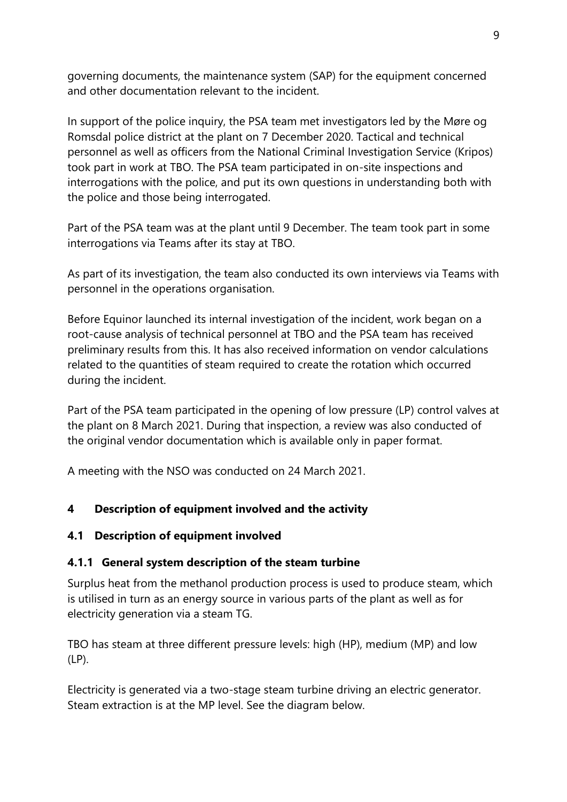governing documents, the maintenance system (SAP) for the equipment concerned and other documentation relevant to the incident.

In support of the police inquiry, the PSA team met investigators led by the Møre og Romsdal police district at the plant on 7 December 2020. Tactical and technical personnel as well as officers from the National Criminal Investigation Service (Kripos) took part in work at TBO. The PSA team participated in on-site inspections and interrogations with the police, and put its own questions in understanding both with the police and those being interrogated.

Part of the PSA team was at the plant until 9 December. The team took part in some interrogations via Teams after its stay at TBO.

As part of its investigation, the team also conducted its own interviews via Teams with personnel in the operations organisation.

Before Equinor launched its internal investigation of the incident, work began on a root-cause analysis of technical personnel at TBO and the PSA team has received preliminary results from this. It has also received information on vendor calculations related to the quantities of steam required to create the rotation which occurred during the incident.

Part of the PSA team participated in the opening of low pressure (LP) control valves at the plant on 8 March 2021. During that inspection, a review was also conducted of the original vendor documentation which is available only in paper format.

A meeting with the NSO was conducted on 24 March 2021.

## **4 Description of equipment involved and the activity**

## **4.1 Description of equipment involved**

## **4.1.1 General system description of the steam turbine**

Surplus heat from the methanol production process is used to produce steam, which is utilised in turn as an energy source in various parts of the plant as well as for electricity generation via a steam TG.

TBO has steam at three different pressure levels: high (HP), medium (MP) and low (LP).

Electricity is generated via a two-stage steam turbine driving an electric generator. Steam extraction is at the MP level. See the diagram below.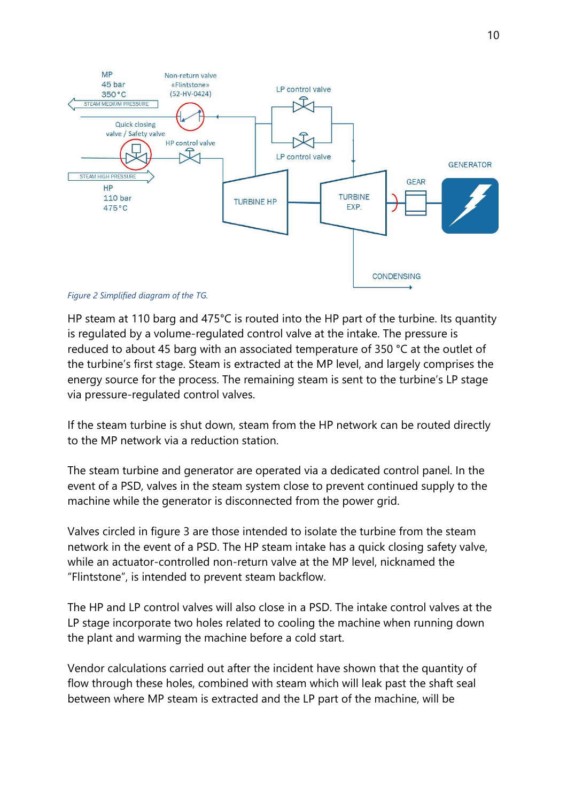

*Figure 2 Simplified diagram of the TG.*

HP steam at 110 barg and 475°C is routed into the HP part of the turbine. Its quantity is regulated by a volume-regulated control valve at the intake. The pressure is reduced to about 45 barg with an associated temperature of 350 °C at the outlet of the turbine's first stage. Steam is extracted at the MP level, and largely comprises the energy source for the process. The remaining steam is sent to the turbine's LP stage via pressure-regulated control valves.

If the steam turbine is shut down, steam from the HP network can be routed directly to the MP network via a reduction station.

The steam turbine and generator are operated via a dedicated control panel. In the event of a PSD, valves in the steam system close to prevent continued supply to the machine while the generator is disconnected from the power grid.

Valves circled in figure 3 are those intended to isolate the turbine from the steam network in the event of a PSD. The HP steam intake has a quick closing safety valve, while an actuator-controlled non-return valve at the MP level, nicknamed the "Flintstone", is intended to prevent steam backflow.

The HP and LP control valves will also close in a PSD. The intake control valves at the LP stage incorporate two holes related to cooling the machine when running down the plant and warming the machine before a cold start.

Vendor calculations carried out after the incident have shown that the quantity of flow through these holes, combined with steam which will leak past the shaft seal between where MP steam is extracted and the LP part of the machine, will be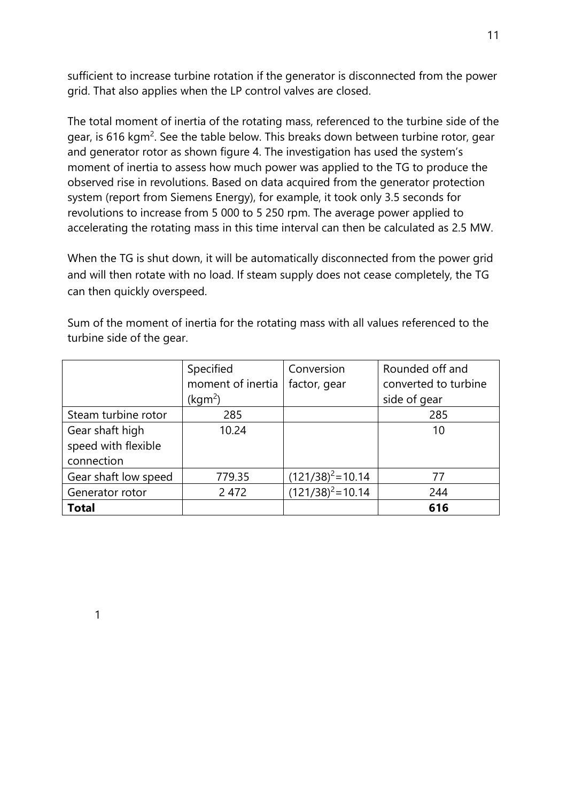sufficient to increase turbine rotation if the generator is disconnected from the power grid. That also applies when the LP control valves are closed.

The total moment of inertia of the rotating mass, referenced to the turbine side of the gear, is 616 kgm $^2$ . See the table below. This breaks down between turbine rotor, gear and generator rotor as shown figure 4. The investigation has used the system's moment of inertia to assess how much power was applied to the TG to produce the observed rise in revolutions. Based on data acquired from the generator protection system (report from Siemens Energy), for example, it took only 3.5 seconds for revolutions to increase from 5 000 to 5 250 rpm. The average power applied to accelerating the rotating mass in this time interval can then be calculated as 2.5 MW.

When the TG is shut down, it will be automatically disconnected from the power grid and will then rotate with no load. If steam supply does not cease completely, the TG can then quickly overspeed.

Sum of the moment of inertia for the rotating mass with all values referenced to the turbine side of the gear.

|                      | Specified           | Conversion           | Rounded off and      |
|----------------------|---------------------|----------------------|----------------------|
|                      | moment of inertia   | factor, gear         | converted to turbine |
|                      | (kgm <sup>2</sup> ) |                      | side of gear         |
| Steam turbine rotor  | 285                 |                      | 285                  |
| Gear shaft high      | 10.24               |                      | 10                   |
| speed with flexible  |                     |                      |                      |
| connection           |                     |                      |                      |
| Gear shaft low speed | 779.35              | $(121/38)^2$ = 10.14 | 77                   |
| Generator rotor      | 2 4 7 2             | $(121/38)^2$ = 10.14 | 244                  |
| <b>Total</b>         |                     |                      | 616                  |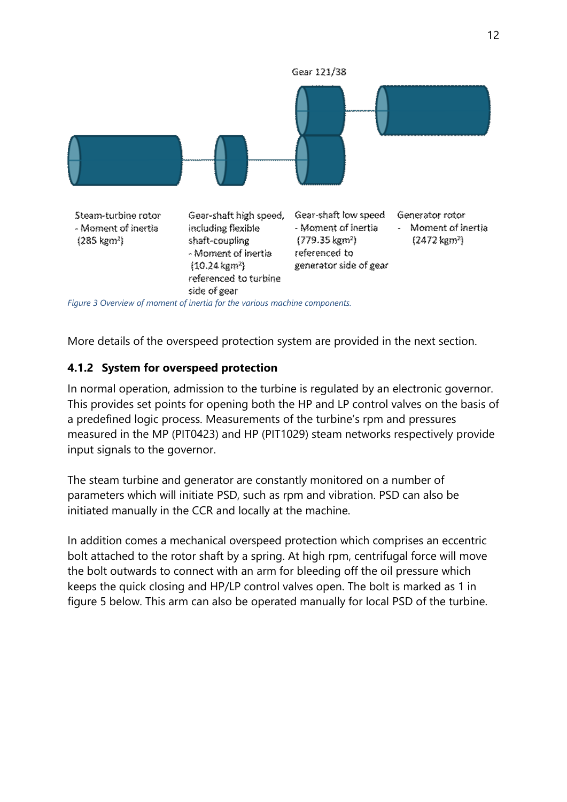

More details of the overspeed protection system are provided in the next section.

## **4.1.2 System for overspeed protection**

In normal operation, admission to the turbine is regulated by an electronic governor. This provides set points for opening both the HP and LP control valves on the basis of a predefined logic process. Measurements of the turbine's rpm and pressures measured in the MP (PIT0423) and HP (PIT1029) steam networks respectively provide input signals to the governor.

The steam turbine and generator are constantly monitored on a number of parameters which will initiate PSD, such as rpm and vibration. PSD can also be initiated manually in the CCR and locally at the machine.

In addition comes a mechanical overspeed protection which comprises an eccentric bolt attached to the rotor shaft by a spring. At high rpm, centrifugal force will move the bolt outwards to connect with an arm for bleeding off the oil pressure which keeps the quick closing and HP/LP control valves open. The bolt is marked as 1 in figure 5 below. This arm can also be operated manually for local PSD of the turbine.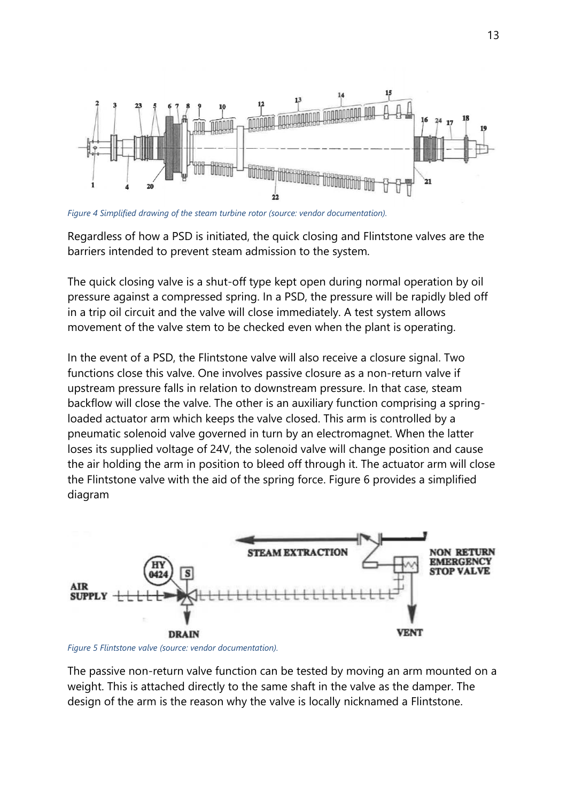

*Figure 4 Simplified drawing of the steam turbine rotor (source: vendor documentation).*

Regardless of how a PSD is initiated, the quick closing and Flintstone valves are the barriers intended to prevent steam admission to the system.

The quick closing valve is a shut-off type kept open during normal operation by oil pressure against a compressed spring. In a PSD, the pressure will be rapidly bled off in a trip oil circuit and the valve will close immediately. A test system allows movement of the valve stem to be checked even when the plant is operating.

In the event of a PSD, the Flintstone valve will also receive a closure signal. Two functions close this valve. One involves passive closure as a non-return valve if upstream pressure falls in relation to downstream pressure. In that case, steam backflow will close the valve. The other is an auxiliary function comprising a springloaded actuator arm which keeps the valve closed. This arm is controlled by a pneumatic solenoid valve governed in turn by an electromagnet. When the latter loses its supplied voltage of 24V, the solenoid valve will change position and cause the air holding the arm in position to bleed off through it. The actuator arm will close the Flintstone valve with the aid of the spring force. Figure 6 provides a simplified diagram



*Figure 5 Flintstone valve (source: vendor documentation).*

The passive non-return valve function can be tested by moving an arm mounted on a weight. This is attached directly to the same shaft in the valve as the damper. The design of the arm is the reason why the valve is locally nicknamed a Flintstone.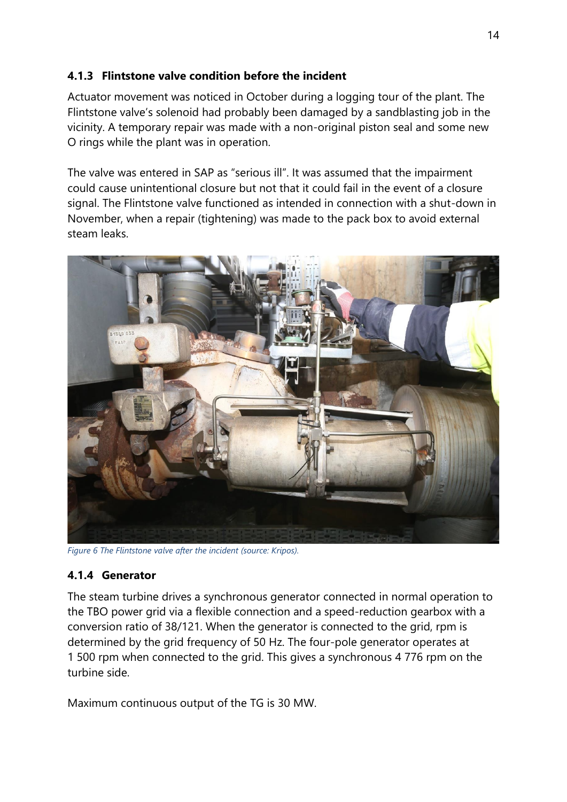## **4.1.3 Flintstone valve condition before the incident**

Actuator movement was noticed in October during a logging tour of the plant. The Flintstone valve's solenoid had probably been damaged by a sandblasting job in the vicinity. A temporary repair was made with a non-original piston seal and some new O rings while the plant was in operation.

The valve was entered in SAP as "serious ill". It was assumed that the impairment could cause unintentional closure but not that it could fail in the event of a closure signal. The Flintstone valve functioned as intended in connection with a shut-down in November, when a repair (tightening) was made to the pack box to avoid external steam leaks.



*Figure 6 The Flintstone valve after the incident (source: Kripos).*

## **4.1.4 Generator**

The steam turbine drives a synchronous generator connected in normal operation to the TBO power grid via a flexible connection and a speed-reduction gearbox with a conversion ratio of 38/121. When the generator is connected to the grid, rpm is determined by the grid frequency of 50 Hz. The four-pole generator operates at 1 500 rpm when connected to the grid. This gives a synchronous 4 776 rpm on the turbine side.

Maximum continuous output of the TG is 30 MW.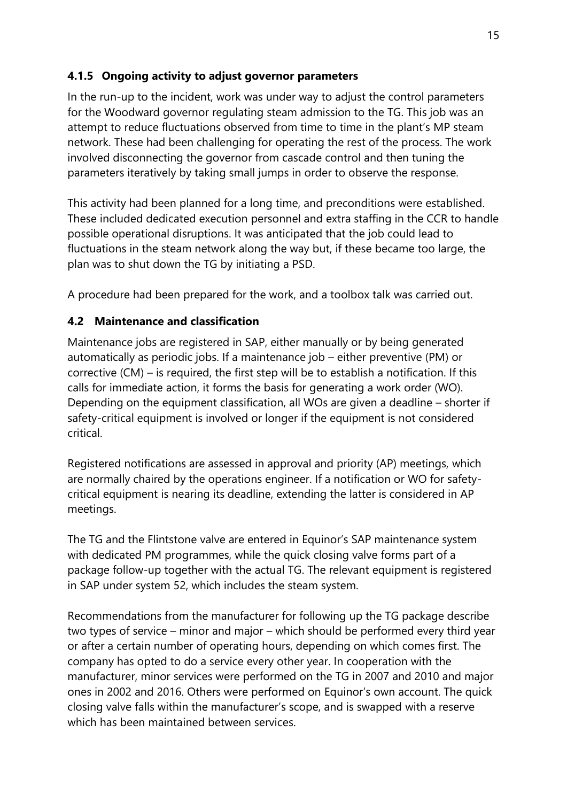# **4.1.5 Ongoing activity to adjust governor parameters**

In the run-up to the incident, work was under way to adjust the control parameters for the Woodward governor regulating steam admission to the TG. This job was an attempt to reduce fluctuations observed from time to time in the plant's MP steam network. These had been challenging for operating the rest of the process. The work involved disconnecting the governor from cascade control and then tuning the parameters iteratively by taking small jumps in order to observe the response.

This activity had been planned for a long time, and preconditions were established. These included dedicated execution personnel and extra staffing in the CCR to handle possible operational disruptions. It was anticipated that the job could lead to fluctuations in the steam network along the way but, if these became too large, the plan was to shut down the TG by initiating a PSD.

A procedure had been prepared for the work, and a toolbox talk was carried out.

## **4.2 Maintenance and classification**

Maintenance jobs are registered in SAP, either manually or by being generated automatically as periodic jobs. If a maintenance job – either preventive (PM) or corrective (CM) – is required, the first step will be to establish a notification. If this calls for immediate action, it forms the basis for generating a work order (WO). Depending on the equipment classification, all WOs are given a deadline – shorter if safety-critical equipment is involved or longer if the equipment is not considered critical.

Registered notifications are assessed in approval and priority (AP) meetings, which are normally chaired by the operations engineer. If a notification or WO for safetycritical equipment is nearing its deadline, extending the latter is considered in AP meetings.

The TG and the Flintstone valve are entered in Equinor's SAP maintenance system with dedicated PM programmes, while the quick closing valve forms part of a package follow-up together with the actual TG. The relevant equipment is registered in SAP under system 52, which includes the steam system.

Recommendations from the manufacturer for following up the TG package describe two types of service – minor and major – which should be performed every third year or after a certain number of operating hours, depending on which comes first. The company has opted to do a service every other year. In cooperation with the manufacturer, minor services were performed on the TG in 2007 and 2010 and major ones in 2002 and 2016. Others were performed on Equinor's own account. The quick closing valve falls within the manufacturer's scope, and is swapped with a reserve which has been maintained between services.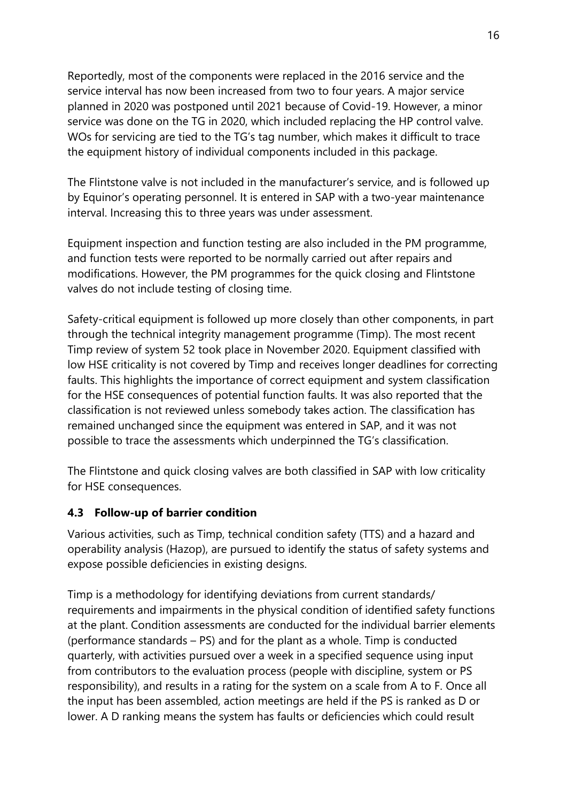Reportedly, most of the components were replaced in the 2016 service and the service interval has now been increased from two to four years. A major service planned in 2020 was postponed until 2021 because of Covid-19. However, a minor service was done on the TG in 2020, which included replacing the HP control valve. WOs for servicing are tied to the TG's tag number, which makes it difficult to trace the equipment history of individual components included in this package.

The Flintstone valve is not included in the manufacturer's service, and is followed up by Equinor's operating personnel. It is entered in SAP with a two-year maintenance interval. Increasing this to three years was under assessment.

Equipment inspection and function testing are also included in the PM programme, and function tests were reported to be normally carried out after repairs and modifications. However, the PM programmes for the quick closing and Flintstone valves do not include testing of closing time.

Safety-critical equipment is followed up more closely than other components, in part through the technical integrity management programme (Timp). The most recent Timp review of system 52 took place in November 2020. Equipment classified with low HSE criticality is not covered by Timp and receives longer deadlines for correcting faults. This highlights the importance of correct equipment and system classification for the HSE consequences of potential function faults. It was also reported that the classification is not reviewed unless somebody takes action. The classification has remained unchanged since the equipment was entered in SAP, and it was not possible to trace the assessments which underpinned the TG's classification.

The Flintstone and quick closing valves are both classified in SAP with low criticality for HSE consequences.

## **4.3 Follow-up of barrier condition**

Various activities, such as Timp, technical condition safety (TTS) and a hazard and operability analysis (Hazop), are pursued to identify the status of safety systems and expose possible deficiencies in existing designs.

Timp is a methodology for identifying deviations from current standards/ requirements and impairments in the physical condition of identified safety functions at the plant. Condition assessments are conducted for the individual barrier elements (performance standards – PS) and for the plant as a whole. Timp is conducted quarterly, with activities pursued over a week in a specified sequence using input from contributors to the evaluation process (people with discipline, system or PS responsibility), and results in a rating for the system on a scale from A to F. Once all the input has been assembled, action meetings are held if the PS is ranked as D or lower. A D ranking means the system has faults or deficiencies which could result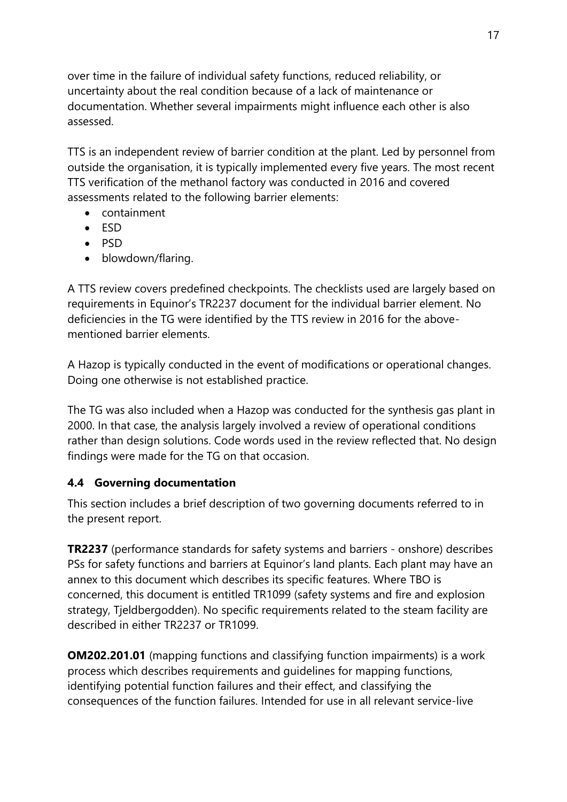over time in the failure of individual safety functions, reduced reliability, or uncertainty about the real condition because of a lack of maintenance or documentation. Whether several impairments might influence each other is also assessed.

TTS is an independent review of barrier condition at the plant. Led by personnel from outside the organisation, it is typically implemented every five years. The most recent TTS verification of the methanol factory was conducted in 2016 and covered assessments related to the following barrier elements:

- containment
- ESD
- PSD
- blowdown/flaring.

A TTS review covers predefined checkpoints. The checklists used are largely based on requirements in Equinor's TR2237 document for the individual barrier element. No deficiencies in the TG were identified by the TTS review in 2016 for the abovementioned barrier elements.

A Hazop is typically conducted in the event of modifications or operational changes. Doing one otherwise is not established practice.

The TG was also included when a Hazop was conducted for the synthesis gas plant in 2000. In that case, the analysis largely involved a review of operational conditions rather than design solutions. Code words used in the review reflected that. No design findings were made for the TG on that occasion.

## **4.4 Governing documentation**

This section includes a brief description of two governing documents referred to in the present report.

**TR2237** (performance standards for safety systems and barriers - onshore) describes PSs for safety functions and barriers at Equinor's land plants. Each plant may have an annex to this document which describes its specific features. Where TBO is concerned, this document is entitled TR1099 (safety systems and fire and explosion strategy, Tjeldbergodden). No specific requirements related to the steam facility are described in either TR2237 or TR1099.

**OM202.201.01** (mapping functions and classifying function impairments) is a work process which describes requirements and guidelines for mapping functions, identifying potential function failures and their effect, and classifying the consequences of the function failures. Intended for use in all relevant service-live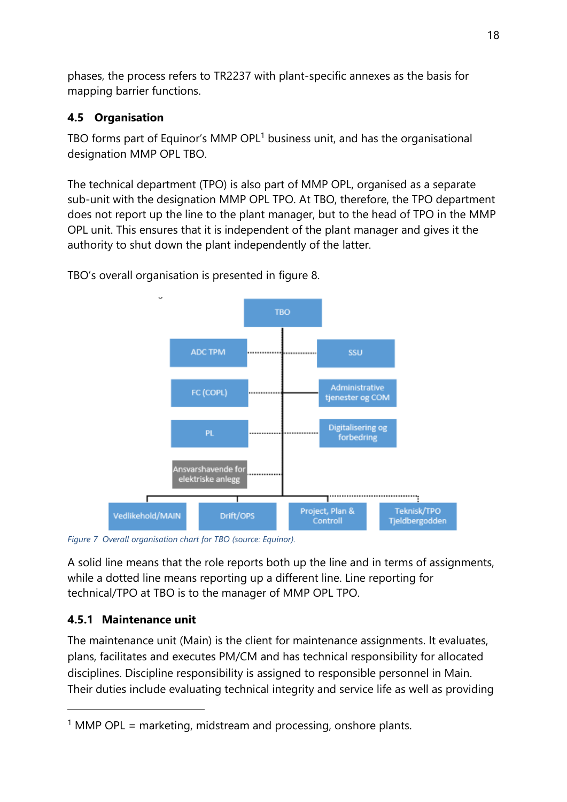phases, the process refers to TR2237 with plant-specific annexes as the basis for mapping barrier functions.

# **4.5 Organisation**

TBO forms part of Equinor's MMP OPL $<sup>1</sup>$  business unit, and has the organisational</sup> designation MMP OPL TBO.

The technical department (TPO) is also part of MMP OPL, organised as a separate sub-unit with the designation MMP OPL TPO. At TBO, therefore, the TPO department does not report up the line to the plant manager, but to the head of TPO in the MMP OPL unit. This ensures that it is independent of the plant manager and gives it the authority to shut down the plant independently of the latter.



TBO's overall organisation is presented in figure 8.

*Figure 7 Overall organisation chart for TBO (source: Equinor).*

A solid line means that the role reports both up the line and in terms of assignments, while a dotted line means reporting up a different line. Line reporting for technical/TPO at TBO is to the manager of MMP OPL TPO.

# **4.5.1 Maintenance unit**

The maintenance unit (Main) is the client for maintenance assignments. It evaluates, plans, facilitates and executes PM/CM and has technical responsibility for allocated disciplines. Discipline responsibility is assigned to responsible personnel in Main. Their duties include evaluating technical integrity and service life as well as providing

<sup>&</sup>lt;sup>1</sup> MMP OPL = marketing, midstream and processing, onshore plants.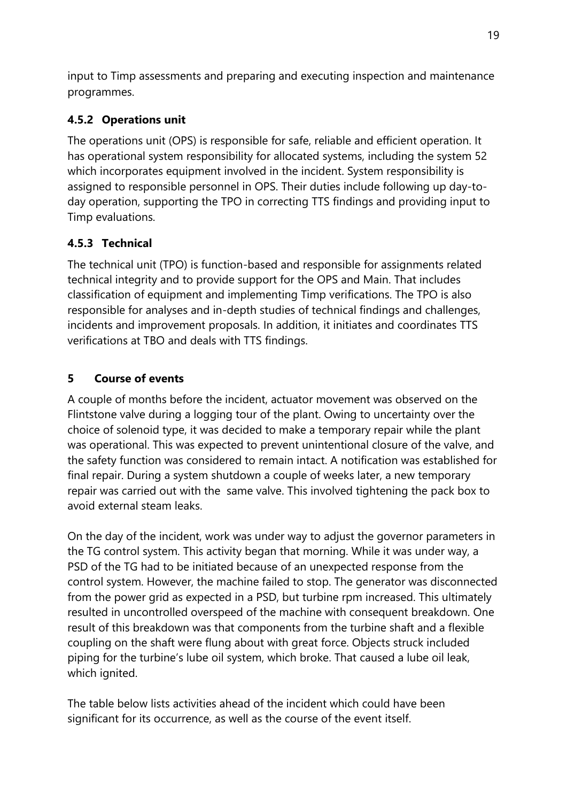input to Timp assessments and preparing and executing inspection and maintenance programmes.

# **4.5.2 Operations unit**

The operations unit (OPS) is responsible for safe, reliable and efficient operation. It has operational system responsibility for allocated systems, including the system 52 which incorporates equipment involved in the incident. System responsibility is assigned to responsible personnel in OPS. Their duties include following up day-today operation, supporting the TPO in correcting TTS findings and providing input to Timp evaluations.

# **4.5.3 Technical**

The technical unit (TPO) is function-based and responsible for assignments related technical integrity and to provide support for the OPS and Main. That includes classification of equipment and implementing Timp verifications. The TPO is also responsible for analyses and in-depth studies of technical findings and challenges, incidents and improvement proposals. In addition, it initiates and coordinates TTS verifications at TBO and deals with TTS findings.

# **5 Course of events**

A couple of months before the incident, actuator movement was observed on the Flintstone valve during a logging tour of the plant. Owing to uncertainty over the choice of solenoid type, it was decided to make a temporary repair while the plant was operational. This was expected to prevent unintentional closure of the valve, and the safety function was considered to remain intact. A notification was established for final repair. During a system shutdown a couple of weeks later, a new temporary repair was carried out with the same valve. This involved tightening the pack box to avoid external steam leaks.

On the day of the incident, work was under way to adjust the governor parameters in the TG control system. This activity began that morning. While it was under way, a PSD of the TG had to be initiated because of an unexpected response from the control system. However, the machine failed to stop. The generator was disconnected from the power grid as expected in a PSD, but turbine rpm increased. This ultimately resulted in uncontrolled overspeed of the machine with consequent breakdown. One result of this breakdown was that components from the turbine shaft and a flexible coupling on the shaft were flung about with great force. Objects struck included piping for the turbine's lube oil system, which broke. That caused a lube oil leak, which ignited.

The table below lists activities ahead of the incident which could have been significant for its occurrence, as well as the course of the event itself.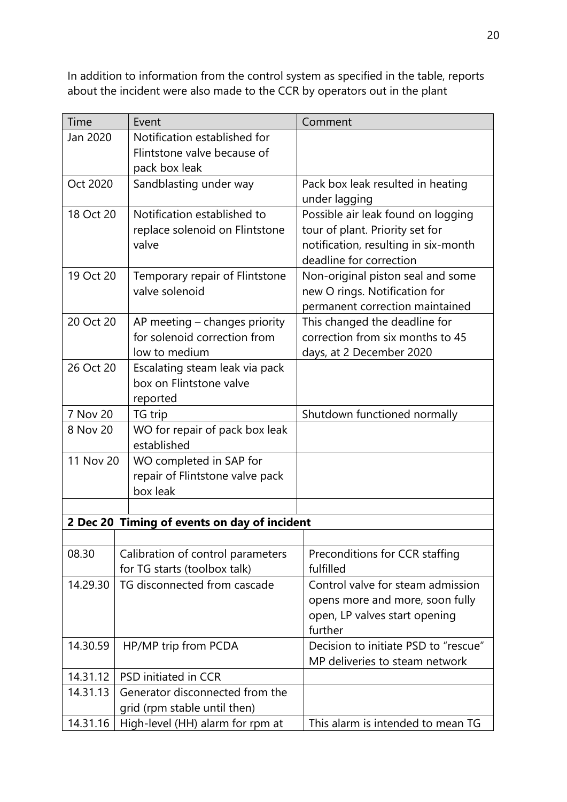In addition to information from the control system as specified in the table, reports about the incident were also made to the CCR by operators out in the plant

| Time      | Event                                                             | Comment                                             |
|-----------|-------------------------------------------------------------------|-----------------------------------------------------|
| Jan 2020  | Notification established for                                      |                                                     |
|           | Flintstone valve because of                                       |                                                     |
|           | pack box leak                                                     |                                                     |
| Oct 2020  | Sandblasting under way                                            | Pack box leak resulted in heating                   |
| 18 Oct 20 | Notification established to                                       | under lagging<br>Possible air leak found on logging |
|           | replace solenoid on Flintstone                                    | tour of plant. Priority set for                     |
|           | valve                                                             | notification, resulting in six-month                |
|           |                                                                   | deadline for correction                             |
| 19 Oct 20 | Temporary repair of Flintstone                                    | Non-original piston seal and some                   |
|           | valve solenoid                                                    | new O rings. Notification for                       |
|           |                                                                   | permanent correction maintained                     |
| 20 Oct 20 | AP meeting – changes priority                                     | This changed the deadline for                       |
|           | for solenoid correction from                                      | correction from six months to 45                    |
|           | low to medium                                                     | days, at 2 December 2020                            |
| 26 Oct 20 | Escalating steam leak via pack<br>box on Flintstone valve         |                                                     |
|           | reported                                                          |                                                     |
| 7 Nov 20  | TG trip                                                           | Shutdown functioned normally                        |
| 8 Nov 20  | WO for repair of pack box leak                                    |                                                     |
|           | established                                                       |                                                     |
| 11 Nov 20 | WO completed in SAP for                                           |                                                     |
|           | repair of Flintstone valve pack                                   |                                                     |
|           | box leak                                                          |                                                     |
|           |                                                                   |                                                     |
|           | 2 Dec 20 Timing of events on day of incident                      |                                                     |
| 08.30     |                                                                   | Preconditions for CCR staffing                      |
|           | Calibration of control parameters<br>for TG starts (toolbox talk) | fulfilled                                           |
| 14.29.30  | TG disconnected from cascade                                      | Control valve for steam admission                   |
|           |                                                                   | opens more and more, soon fully                     |
|           |                                                                   | open, LP valves start opening                       |
|           |                                                                   | further                                             |
| 14.30.59  | HP/MP trip from PCDA                                              | Decision to initiate PSD to "rescue"                |
|           |                                                                   | MP deliveries to steam network                      |
| 14.31.12  | PSD initiated in CCR                                              |                                                     |
| 14.31.13  | Generator disconnected from the                                   |                                                     |
|           | grid (rpm stable until then)                                      |                                                     |
| 14.31.16  | High-level (HH) alarm for rpm at                                  | This alarm is intended to mean TG                   |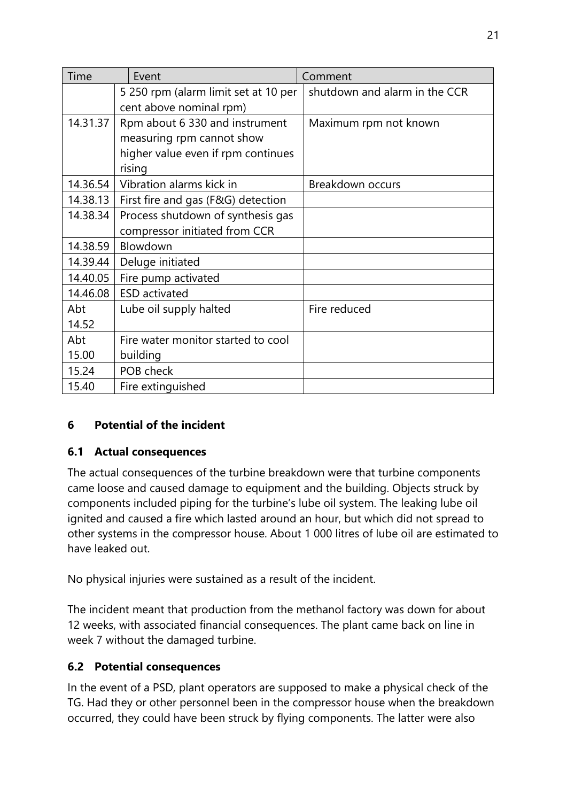| Time     | Event<br>Comment                     |                               |
|----------|--------------------------------------|-------------------------------|
|          | 5 250 rpm (alarm limit set at 10 per | shutdown and alarm in the CCR |
|          | cent above nominal rpm)              |                               |
| 14.31.37 | Rpm about 6 330 and instrument       | Maximum rpm not known         |
|          | measuring rpm cannot show            |                               |
|          | higher value even if rpm continues   |                               |
|          | rising                               |                               |
| 14.36.54 | Vibration alarms kick in             | Breakdown occurs              |
| 14.38.13 | First fire and gas (F&G) detection   |                               |
| 14.38.34 | Process shutdown of synthesis gas    |                               |
|          | compressor initiated from CCR        |                               |
| 14.38.59 | Blowdown                             |                               |
| 14.39.44 | Deluge initiated                     |                               |
| 14.40.05 | Fire pump activated                  |                               |
| 14.46.08 | <b>ESD</b> activated                 |                               |
| Abt      | Lube oil supply halted               | Fire reduced                  |
| 14.52    |                                      |                               |
| Abt      | Fire water monitor started to cool   |                               |
| 15.00    | building                             |                               |
| 15.24    | POB check                            |                               |
| 15.40    | Fire extinguished                    |                               |

## **6 Potential of the incident**

#### **6.1 Actual consequences**

The actual consequences of the turbine breakdown were that turbine components came loose and caused damage to equipment and the building. Objects struck by components included piping for the turbine's lube oil system. The leaking lube oil ignited and caused a fire which lasted around an hour, but which did not spread to other systems in the compressor house. About 1 000 litres of lube oil are estimated to have leaked out.

No physical injuries were sustained as a result of the incident.

The incident meant that production from the methanol factory was down for about 12 weeks, with associated financial consequences. The plant came back on line in week 7 without the damaged turbine.

## **6.2 Potential consequences**

In the event of a PSD, plant operators are supposed to make a physical check of the TG. Had they or other personnel been in the compressor house when the breakdown occurred, they could have been struck by flying components. The latter were also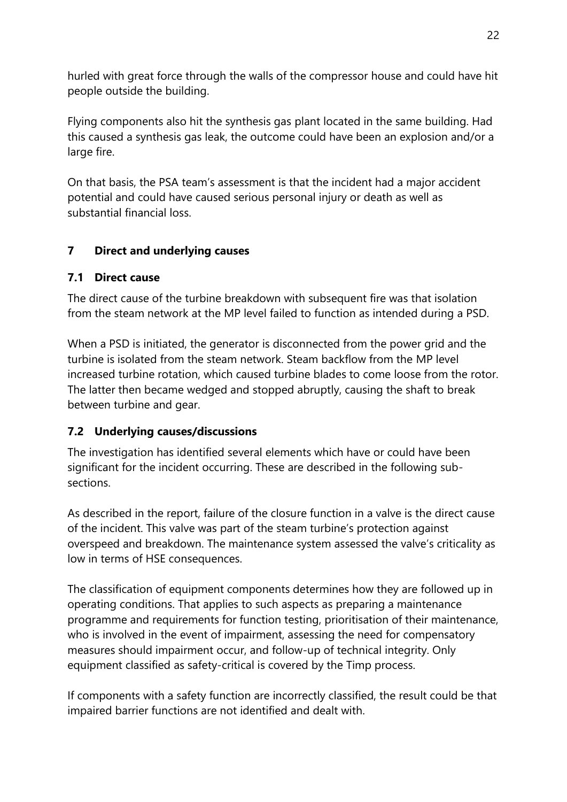hurled with great force through the walls of the compressor house and could have hit people outside the building.

Flying components also hit the synthesis gas plant located in the same building. Had this caused a synthesis gas leak, the outcome could have been an explosion and/or a large fire.

On that basis, the PSA team's assessment is that the incident had a major accident potential and could have caused serious personal injury or death as well as substantial financial loss.

# **7 Direct and underlying causes**

## **7.1 Direct cause**

The direct cause of the turbine breakdown with subsequent fire was that isolation from the steam network at the MP level failed to function as intended during a PSD.

When a PSD is initiated, the generator is disconnected from the power grid and the turbine is isolated from the steam network. Steam backflow from the MP level increased turbine rotation, which caused turbine blades to come loose from the rotor. The latter then became wedged and stopped abruptly, causing the shaft to break between turbine and gear.

## **7.2 Underlying causes/discussions**

The investigation has identified several elements which have or could have been significant for the incident occurring. These are described in the following subsections.

As described in the report, failure of the closure function in a valve is the direct cause of the incident. This valve was part of the steam turbine's protection against overspeed and breakdown. The maintenance system assessed the valve's criticality as low in terms of HSE consequences.

The classification of equipment components determines how they are followed up in operating conditions. That applies to such aspects as preparing a maintenance programme and requirements for function testing, prioritisation of their maintenance, who is involved in the event of impairment, assessing the need for compensatory measures should impairment occur, and follow-up of technical integrity. Only equipment classified as safety-critical is covered by the Timp process.

If components with a safety function are incorrectly classified, the result could be that impaired barrier functions are not identified and dealt with.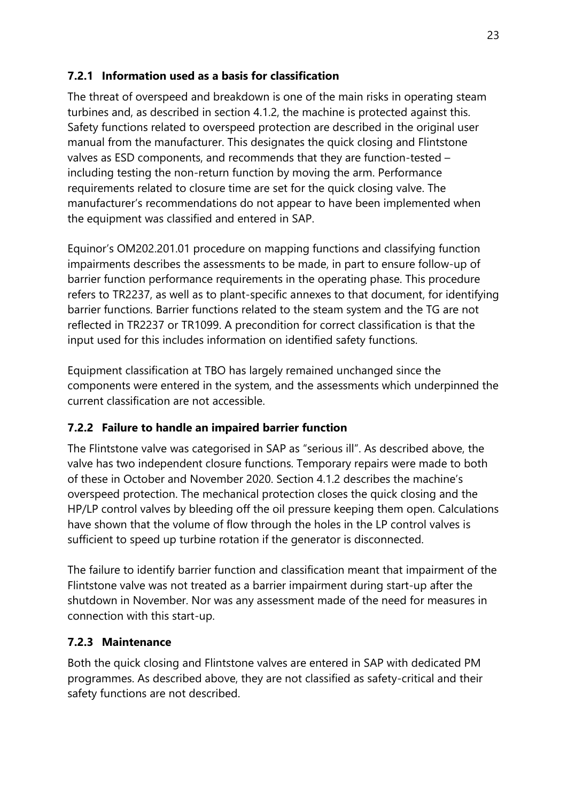# **7.2.1 Information used as a basis for classification**

The threat of overspeed and breakdown is one of the main risks in operating steam turbines and, as described in section 4.1.2, the machine is protected against this. Safety functions related to overspeed protection are described in the original user manual from the manufacturer. This designates the quick closing and Flintstone valves as ESD components, and recommends that they are function-tested – including testing the non-return function by moving the arm. Performance requirements related to closure time are set for the quick closing valve. The manufacturer's recommendations do not appear to have been implemented when the equipment was classified and entered in SAP.

Equinor's OM202.201.01 procedure on mapping functions and classifying function impairments describes the assessments to be made, in part to ensure follow-up of barrier function performance requirements in the operating phase. This procedure refers to TR2237, as well as to plant-specific annexes to that document, for identifying barrier functions. Barrier functions related to the steam system and the TG are not reflected in TR2237 or TR1099. A precondition for correct classification is that the input used for this includes information on identified safety functions.

Equipment classification at TBO has largely remained unchanged since the components were entered in the system, and the assessments which underpinned the current classification are not accessible.

# **7.2.2 Failure to handle an impaired barrier function**

The Flintstone valve was categorised in SAP as "serious ill". As described above, the valve has two independent closure functions. Temporary repairs were made to both of these in October and November 2020. Section 4.1.2 describes the machine's overspeed protection. The mechanical protection closes the quick closing and the HP/LP control valves by bleeding off the oil pressure keeping them open. Calculations have shown that the volume of flow through the holes in the LP control valves is sufficient to speed up turbine rotation if the generator is disconnected.

The failure to identify barrier function and classification meant that impairment of the Flintstone valve was not treated as a barrier impairment during start-up after the shutdown in November. Nor was any assessment made of the need for measures in connection with this start-up.

## **7.2.3 Maintenance**

Both the quick closing and Flintstone valves are entered in SAP with dedicated PM programmes. As described above, they are not classified as safety-critical and their safety functions are not described.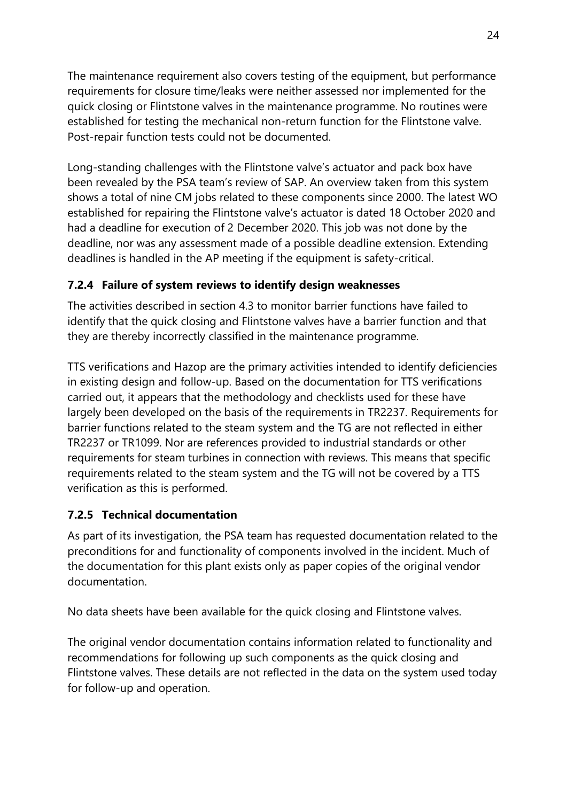The maintenance requirement also covers testing of the equipment, but performance requirements for closure time/leaks were neither assessed nor implemented for the quick closing or Flintstone valves in the maintenance programme. No routines were established for testing the mechanical non-return function for the Flintstone valve. Post-repair function tests could not be documented.

Long-standing challenges with the Flintstone valve's actuator and pack box have been revealed by the PSA team's review of SAP. An overview taken from this system shows a total of nine CM jobs related to these components since 2000. The latest WO established for repairing the Flintstone valve's actuator is dated 18 October 2020 and had a deadline for execution of 2 December 2020. This job was not done by the deadline, nor was any assessment made of a possible deadline extension. Extending deadlines is handled in the AP meeting if the equipment is safety-critical.

## **7.2.4 Failure of system reviews to identify design weaknesses**

The activities described in section 4.3 to monitor barrier functions have failed to identify that the quick closing and Flintstone valves have a barrier function and that they are thereby incorrectly classified in the maintenance programme.

TTS verifications and Hazop are the primary activities intended to identify deficiencies in existing design and follow-up. Based on the documentation for TTS verifications carried out, it appears that the methodology and checklists used for these have largely been developed on the basis of the requirements in TR2237. Requirements for barrier functions related to the steam system and the TG are not reflected in either TR2237 or TR1099. Nor are references provided to industrial standards or other requirements for steam turbines in connection with reviews. This means that specific requirements related to the steam system and the TG will not be covered by a TTS verification as this is performed.

#### **7.2.5 Technical documentation**

As part of its investigation, the PSA team has requested documentation related to the preconditions for and functionality of components involved in the incident. Much of the documentation for this plant exists only as paper copies of the original vendor documentation.

No data sheets have been available for the quick closing and Flintstone valves.

The original vendor documentation contains information related to functionality and recommendations for following up such components as the quick closing and Flintstone valves. These details are not reflected in the data on the system used today for follow-up and operation.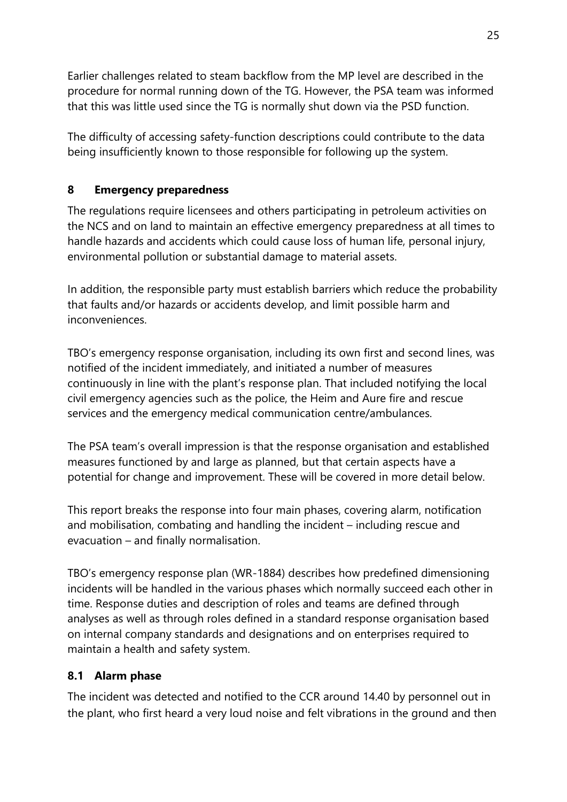Earlier challenges related to steam backflow from the MP level are described in the procedure for normal running down of the TG. However, the PSA team was informed that this was little used since the TG is normally shut down via the PSD function.

The difficulty of accessing safety-function descriptions could contribute to the data being insufficiently known to those responsible for following up the system.

# **8 Emergency preparedness**

The regulations require licensees and others participating in petroleum activities on the NCS and on land to maintain an effective emergency preparedness at all times to handle hazards and accidents which could cause loss of human life, personal injury, environmental pollution or substantial damage to material assets.

In addition, the responsible party must establish barriers which reduce the probability that faults and/or hazards or accidents develop, and limit possible harm and inconveniences.

TBO's emergency response organisation, including its own first and second lines, was notified of the incident immediately, and initiated a number of measures continuously in line with the plant's response plan. That included notifying the local civil emergency agencies such as the police, the Heim and Aure fire and rescue services and the emergency medical communication centre/ambulances.

The PSA team's overall impression is that the response organisation and established measures functioned by and large as planned, but that certain aspects have a potential for change and improvement. These will be covered in more detail below.

This report breaks the response into four main phases, covering alarm, notification and mobilisation, combating and handling the incident – including rescue and evacuation – and finally normalisation.

TBO's emergency response plan (WR-1884) describes how predefined dimensioning incidents will be handled in the various phases which normally succeed each other in time. Response duties and description of roles and teams are defined through analyses as well as through roles defined in a standard response organisation based on internal company standards and designations and on enterprises required to maintain a health and safety system.

## **8.1 Alarm phase**

The incident was detected and notified to the CCR around 14.40 by personnel out in the plant, who first heard a very loud noise and felt vibrations in the ground and then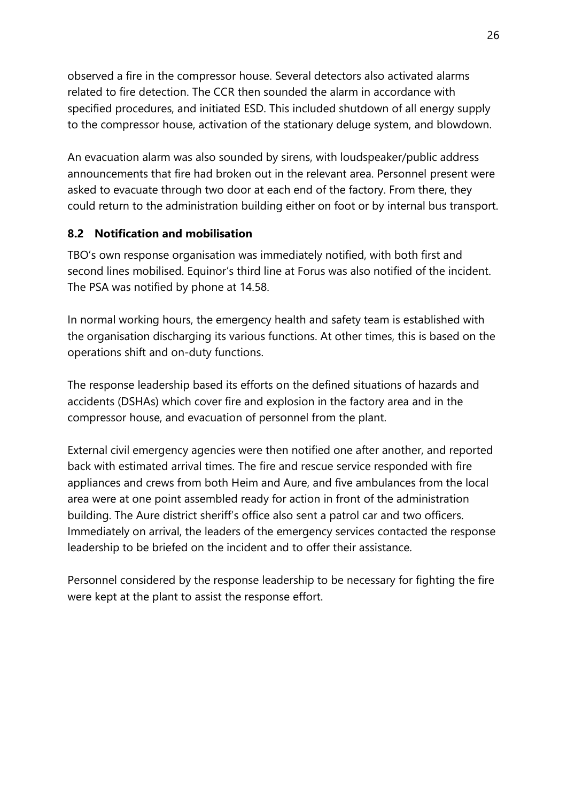observed a fire in the compressor house. Several detectors also activated alarms related to fire detection. The CCR then sounded the alarm in accordance with specified procedures, and initiated ESD. This included shutdown of all energy supply to the compressor house, activation of the stationary deluge system, and blowdown.

An evacuation alarm was also sounded by sirens, with loudspeaker/public address announcements that fire had broken out in the relevant area. Personnel present were asked to evacuate through two door at each end of the factory. From there, they could return to the administration building either on foot or by internal bus transport.

# **8.2 Notification and mobilisation**

TBO's own response organisation was immediately notified, with both first and second lines mobilised. Equinor's third line at Forus was also notified of the incident. The PSA was notified by phone at 14.58.

In normal working hours, the emergency health and safety team is established with the organisation discharging its various functions. At other times, this is based on the operations shift and on-duty functions.

The response leadership based its efforts on the defined situations of hazards and accidents (DSHAs) which cover fire and explosion in the factory area and in the compressor house, and evacuation of personnel from the plant.

External civil emergency agencies were then notified one after another, and reported back with estimated arrival times. The fire and rescue service responded with fire appliances and crews from both Heim and Aure, and five ambulances from the local area were at one point assembled ready for action in front of the administration building. The Aure district sheriff's office also sent a patrol car and two officers. Immediately on arrival, the leaders of the emergency services contacted the response leadership to be briefed on the incident and to offer their assistance.

Personnel considered by the response leadership to be necessary for fighting the fire were kept at the plant to assist the response effort.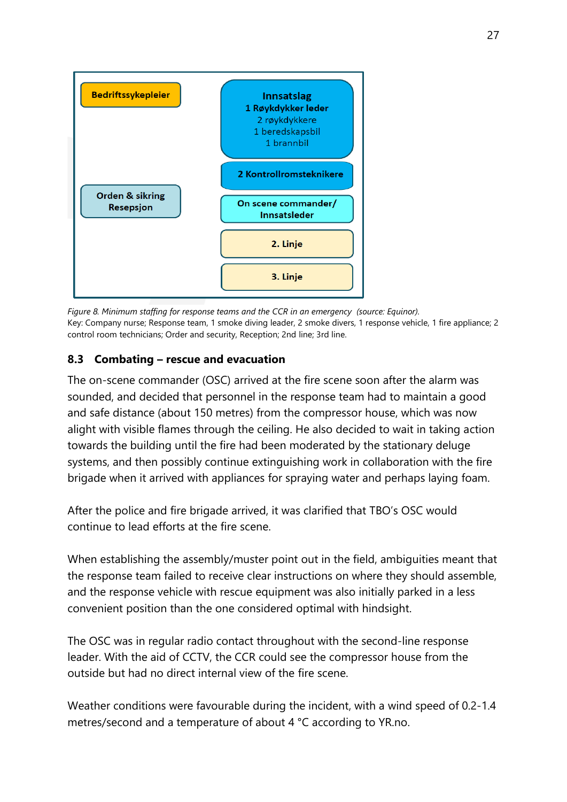

*Figure 8. Minimum staffing for response teams and the CCR in an emergency (source: Equinor).* Key: Company nurse; Response team, 1 smoke diving leader, 2 smoke divers, 1 response vehicle, 1 fire appliance; 2 control room technicians; Order and security, Reception; 2nd line; 3rd line.

#### **8.3 Combating – rescue and evacuation**

The on-scene commander (OSC) arrived at the fire scene soon after the alarm was sounded, and decided that personnel in the response team had to maintain a good and safe distance (about 150 metres) from the compressor house, which was now alight with visible flames through the ceiling. He also decided to wait in taking action towards the building until the fire had been moderated by the stationary deluge systems, and then possibly continue extinguishing work in collaboration with the fire brigade when it arrived with appliances for spraying water and perhaps laying foam.

After the police and fire brigade arrived, it was clarified that TBO's OSC would continue to lead efforts at the fire scene.

When establishing the assembly/muster point out in the field, ambiguities meant that the response team failed to receive clear instructions on where they should assemble, and the response vehicle with rescue equipment was also initially parked in a less convenient position than the one considered optimal with hindsight.

The OSC was in regular radio contact throughout with the second-line response leader. With the aid of CCTV, the CCR could see the compressor house from the outside but had no direct internal view of the fire scene.

Weather conditions were favourable during the incident, with a wind speed of 0.2-1.4 metres/second and a temperature of about 4 °C according to YR.no.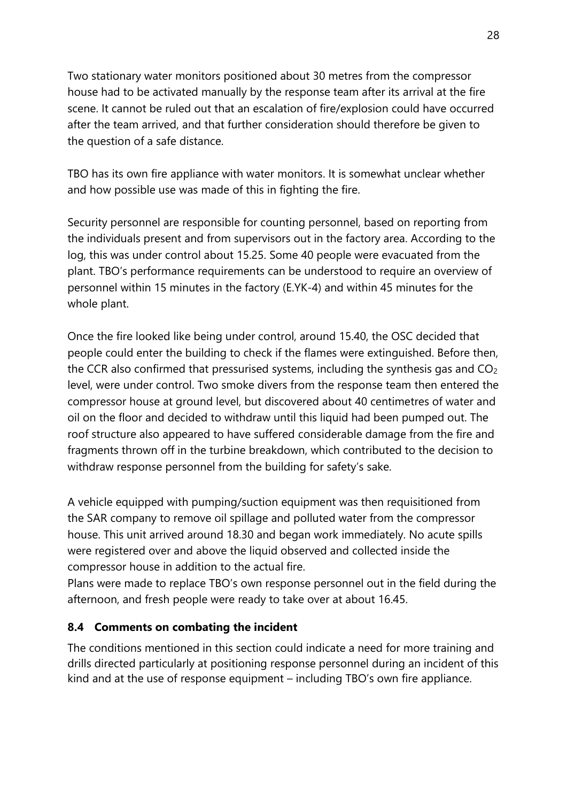Two stationary water monitors positioned about 30 metres from the compressor house had to be activated manually by the response team after its arrival at the fire scene. It cannot be ruled out that an escalation of fire/explosion could have occurred after the team arrived, and that further consideration should therefore be given to the question of a safe distance.

TBO has its own fire appliance with water monitors. It is somewhat unclear whether and how possible use was made of this in fighting the fire.

Security personnel are responsible for counting personnel, based on reporting from the individuals present and from supervisors out in the factory area. According to the log, this was under control about 15.25. Some 40 people were evacuated from the plant. TBO's performance requirements can be understood to require an overview of personnel within 15 minutes in the factory (E.YK-4) and within 45 minutes for the whole plant.

Once the fire looked like being under control, around 15.40, the OSC decided that people could enter the building to check if the flames were extinguished. Before then, the CCR also confirmed that pressurised systems, including the synthesis gas and CO<sup>2</sup> level, were under control. Two smoke divers from the response team then entered the compressor house at ground level, but discovered about 40 centimetres of water and oil on the floor and decided to withdraw until this liquid had been pumped out. The roof structure also appeared to have suffered considerable damage from the fire and fragments thrown off in the turbine breakdown, which contributed to the decision to withdraw response personnel from the building for safety's sake.

A vehicle equipped with pumping/suction equipment was then requisitioned from the SAR company to remove oil spillage and polluted water from the compressor house. This unit arrived around 18.30 and began work immediately. No acute spills were registered over and above the liquid observed and collected inside the compressor house in addition to the actual fire.

Plans were made to replace TBO's own response personnel out in the field during the afternoon, and fresh people were ready to take over at about 16.45.

## **8.4 Comments on combating the incident**

The conditions mentioned in this section could indicate a need for more training and drills directed particularly at positioning response personnel during an incident of this kind and at the use of response equipment – including TBO's own fire appliance.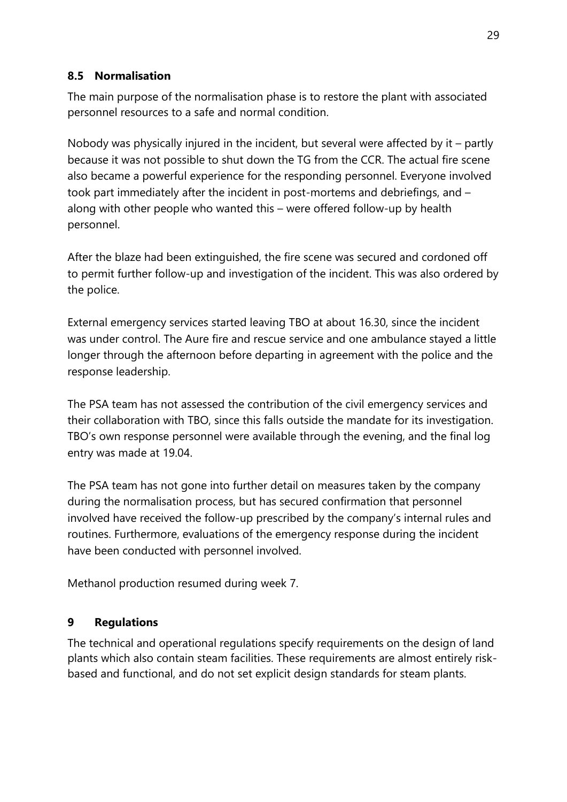## **8.5 Normalisation**

The main purpose of the normalisation phase is to restore the plant with associated personnel resources to a safe and normal condition.

Nobody was physically injured in the incident, but several were affected by it – partly because it was not possible to shut down the TG from the CCR. The actual fire scene also became a powerful experience for the responding personnel. Everyone involved took part immediately after the incident in post-mortems and debriefings, and – along with other people who wanted this – were offered follow-up by health personnel.

After the blaze had been extinguished, the fire scene was secured and cordoned off to permit further follow-up and investigation of the incident. This was also ordered by the police.

External emergency services started leaving TBO at about 16.30, since the incident was under control. The Aure fire and rescue service and one ambulance stayed a little longer through the afternoon before departing in agreement with the police and the response leadership.

The PSA team has not assessed the contribution of the civil emergency services and their collaboration with TBO, since this falls outside the mandate for its investigation. TBO's own response personnel were available through the evening, and the final log entry was made at 19.04.

The PSA team has not gone into further detail on measures taken by the company during the normalisation process, but has secured confirmation that personnel involved have received the follow-up prescribed by the company's internal rules and routines. Furthermore, evaluations of the emergency response during the incident have been conducted with personnel involved.

Methanol production resumed during week 7.

## **9 Regulations**

The technical and operational regulations specify requirements on the design of land plants which also contain steam facilities. These requirements are almost entirely riskbased and functional, and do not set explicit design standards for steam plants.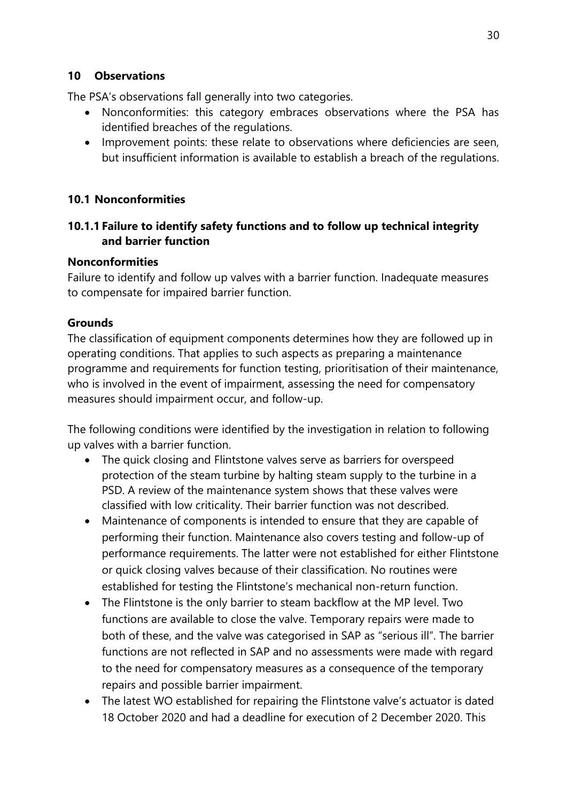#### **10 Observations**

The PSA's observations fall generally into two categories.

- Nonconformities: this category embraces observations where the PSA has identified breaches of the regulations.
- Improvement points: these relate to observations where deficiencies are seen, but insufficient information is available to establish a breach of the regulations.

#### **10.1 Nonconformities**

#### **10.1.1 Failure to identify safety functions and to follow up technical integrity and barrier function**

#### **Nonconformities**

Failure to identify and follow up valves with a barrier function. Inadequate measures to compensate for impaired barrier function.

#### **Grounds**

The classification of equipment components determines how they are followed up in operating conditions. That applies to such aspects as preparing a maintenance programme and requirements for function testing, prioritisation of their maintenance, who is involved in the event of impairment, assessing the need for compensatory measures should impairment occur, and follow-up.

The following conditions were identified by the investigation in relation to following up valves with a barrier function.

- The quick closing and Flintstone valves serve as barriers for overspeed protection of the steam turbine by halting steam supply to the turbine in a PSD. A review of the maintenance system shows that these valves were classified with low criticality. Their barrier function was not described.
- Maintenance of components is intended to ensure that they are capable of performing their function. Maintenance also covers testing and follow-up of performance requirements. The latter were not established for either Flintstone or quick closing valves because of their classification. No routines were established for testing the Flintstone's mechanical non-return function.
- The Flintstone is the only barrier to steam backflow at the MP level. Two functions are available to close the valve. Temporary repairs were made to both of these, and the valve was categorised in SAP as "serious ill". The barrier functions are not reflected in SAP and no assessments were made with regard to the need for compensatory measures as a consequence of the temporary repairs and possible barrier impairment.
- The latest WO established for repairing the Flintstone valve's actuator is dated 18 October 2020 and had a deadline for execution of 2 December 2020. This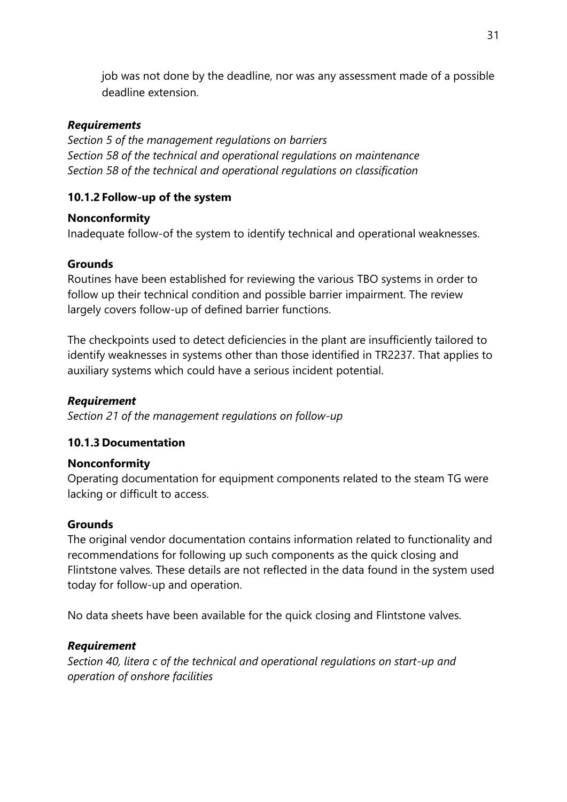job was not done by the deadline, nor was any assessment made of a possible deadline extension.

#### *Requirements*

*Section 5 of the management regulations on barriers Section 58 of the technical and operational regulations on maintenance Section 58 of the technical and operational regulations on classification*

#### **10.1.2 Follow-up of the system**

#### **Nonconformity**

Inadequate follow-of the system to identify technical and operational weaknesses.

#### **Grounds**

Routines have been established for reviewing the various TBO systems in order to follow up their technical condition and possible barrier impairment. The review largely covers follow-up of defined barrier functions.

The checkpoints used to detect deficiencies in the plant are insufficiently tailored to identify weaknesses in systems other than those identified in TR2237. That applies to auxiliary systems which could have a serious incident potential.

#### *Requirement*

*Section 21 of the management regulations on follow-up*

## **10.1.3 Documentation**

## **Nonconformity**

Operating documentation for equipment components related to the steam TG were lacking or difficult to access.

## **Grounds**

The original vendor documentation contains information related to functionality and recommendations for following up such components as the quick closing and Flintstone valves. These details are not reflected in the data found in the system used today for follow-up and operation.

No data sheets have been available for the quick closing and Flintstone valves.

## *Requirement*

*Section 40, litera c of the technical and operational regulations on start-up and operation of onshore facilities*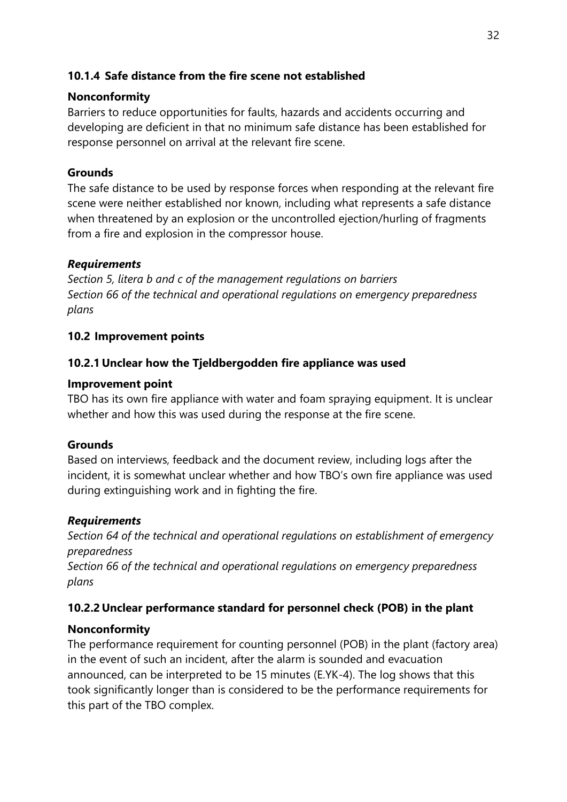## **10.1.4 Safe distance from the fire scene not established**

#### **Nonconformity**

Barriers to reduce opportunities for faults, hazards and accidents occurring and developing are deficient in that no minimum safe distance has been established for response personnel on arrival at the relevant fire scene.

## **Grounds**

The safe distance to be used by response forces when responding at the relevant fire scene were neither established nor known, including what represents a safe distance when threatened by an explosion or the uncontrolled ejection/hurling of fragments from a fire and explosion in the compressor house.

#### *Requirements*

*Section 5, litera b and c of the management regulations on barriers Section 66 of the technical and operational regulations on emergency preparedness plans*

#### **10.2 Improvement points**

#### **10.2.1 Unclear how the Tjeldbergodden fire appliance was used**

#### **Improvement point**

TBO has its own fire appliance with water and foam spraying equipment. It is unclear whether and how this was used during the response at the fire scene.

## **Grounds**

Based on interviews, feedback and the document review, including logs after the incident, it is somewhat unclear whether and how TBO's own fire appliance was used during extinguishing work and in fighting the fire.

#### *Requirements*

*Section 64 of the technical and operational regulations on establishment of emergency preparedness* 

*Section 66 of the technical and operational regulations on emergency preparedness plans*

## **10.2.2 Unclear performance standard for personnel check (POB) in the plant**

## **Nonconformity**

The performance requirement for counting personnel (POB) in the plant (factory area) in the event of such an incident, after the alarm is sounded and evacuation announced, can be interpreted to be 15 minutes (E.YK-4). The log shows that this took significantly longer than is considered to be the performance requirements for this part of the TBO complex.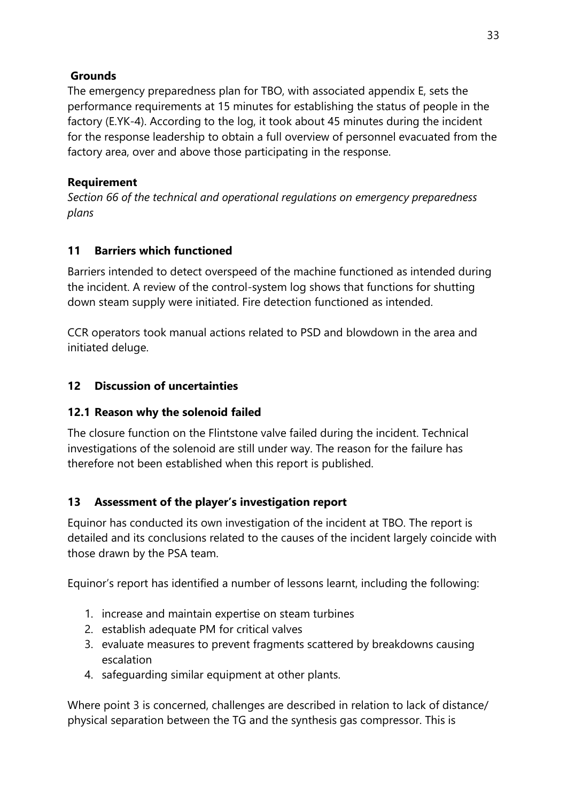# **Grounds**

The emergency preparedness plan for TBO, with associated appendix E, sets the performance requirements at 15 minutes for establishing the status of people in the factory (E.YK-4). According to the log, it took about 45 minutes during the incident for the response leadership to obtain a full overview of personnel evacuated from the factory area, over and above those participating in the response.

# **Requirement**

*Section 66 of the technical and operational regulations on emergency preparedness plans*

# **11 Barriers which functioned**

Barriers intended to detect overspeed of the machine functioned as intended during the incident. A review of the control-system log shows that functions for shutting down steam supply were initiated. Fire detection functioned as intended.

CCR operators took manual actions related to PSD and blowdown in the area and initiated deluge.

# **12 Discussion of uncertainties**

# **12.1 Reason why the solenoid failed**

The closure function on the Flintstone valve failed during the incident. Technical investigations of the solenoid are still under way. The reason for the failure has therefore not been established when this report is published.

# **13 Assessment of the player's investigation report**

Equinor has conducted its own investigation of the incident at TBO. The report is detailed and its conclusions related to the causes of the incident largely coincide with those drawn by the PSA team.

Equinor's report has identified a number of lessons learnt, including the following:

- 1. increase and maintain expertise on steam turbines
- 2. establish adequate PM for critical valves
- 3. evaluate measures to prevent fragments scattered by breakdowns causing escalation
- 4. safeguarding similar equipment at other plants.

Where point 3 is concerned, challenges are described in relation to lack of distance/ physical separation between the TG and the synthesis gas compressor. This is